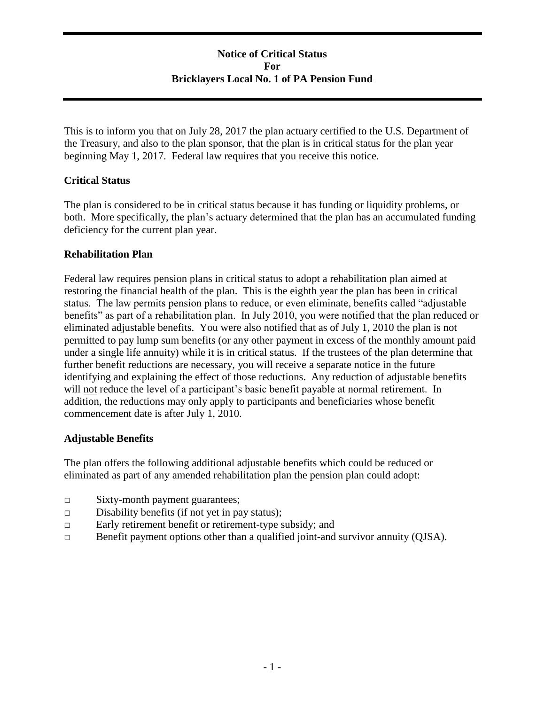# **Notice of Critical Status For Bricklayers Local No. 1 of PA Pension Fund**

This is to inform you that on July 28, 2017 the plan actuary certified to the U.S. Department of the Treasury, and also to the plan sponsor, that the plan is in critical status for the plan year beginning May 1, 2017. Federal law requires that you receive this notice.

## **Critical Status**

The plan is considered to be in critical status because it has funding or liquidity problems, or both. More specifically, the plan's actuary determined that the plan has an accumulated funding deficiency for the current plan year.

## **Rehabilitation Plan**

Federal law requires pension plans in critical status to adopt a rehabilitation plan aimed at restoring the financial health of the plan. This is the eighth year the plan has been in critical status. The law permits pension plans to reduce, or even eliminate, benefits called "adjustable benefits" as part of a rehabilitation plan. In July 2010, you were notified that the plan reduced or eliminated adjustable benefits. You were also notified that as of July 1, 2010 the plan is not permitted to pay lump sum benefits (or any other payment in excess of the monthly amount paid under a single life annuity) while it is in critical status. If the trustees of the plan determine that further benefit reductions are necessary, you will receive a separate notice in the future identifying and explaining the effect of those reductions. Any reduction of adjustable benefits will not reduce the level of a participant's basic benefit payable at normal retirement. In addition, the reductions may only apply to participants and beneficiaries whose benefit commencement date is after July 1, 2010.

## **Adjustable Benefits**

The plan offers the following additional adjustable benefits which could be reduced or eliminated as part of any amended rehabilitation plan the pension plan could adopt:

- □ Sixty-month payment guarantees;
- $\Box$  Disability benefits (if not yet in pay status);
- □ Early retirement benefit or retirement-type subsidy; and
- □ Benefit payment options other than a qualified joint-and survivor annuity (QJSA).